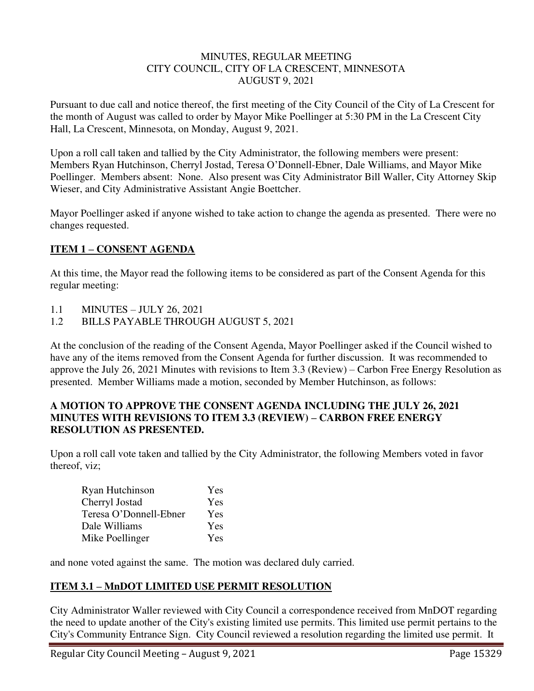#### MINUTES, REGULAR MEETING CITY COUNCIL, CITY OF LA CRESCENT, MINNESOTA AUGUST 9, 2021

Pursuant to due call and notice thereof, the first meeting of the City Council of the City of La Crescent for the month of August was called to order by Mayor Mike Poellinger at 5:30 PM in the La Crescent City Hall, La Crescent, Minnesota, on Monday, August 9, 2021.

Upon a roll call taken and tallied by the City Administrator, the following members were present: Members Ryan Hutchinson, Cherryl Jostad, Teresa O'Donnell-Ebner, Dale Williams, and Mayor Mike Poellinger. Members absent: None. Also present was City Administrator Bill Waller, City Attorney Skip Wieser, and City Administrative Assistant Angie Boettcher.

Mayor Poellinger asked if anyone wished to take action to change the agenda as presented. There were no changes requested.

## **ITEM 1 – CONSENT AGENDA**

At this time, the Mayor read the following items to be considered as part of the Consent Agenda for this regular meeting:

- 1.1 MINUTES JULY 26, 2021
- 1.2 BILLS PAYABLE THROUGH AUGUST 5, 2021

At the conclusion of the reading of the Consent Agenda, Mayor Poellinger asked if the Council wished to have any of the items removed from the Consent Agenda for further discussion. It was recommended to approve the July 26, 2021 Minutes with revisions to Item 3.3 (Review) – Carbon Free Energy Resolution as presented. Member Williams made a motion, seconded by Member Hutchinson, as follows:

### **A MOTION TO APPROVE THE CONSENT AGENDA INCLUDING THE JULY 26, 2021 MINUTES WITH REVISIONS TO ITEM 3.3 (REVIEW) – CARBON FREE ENERGY RESOLUTION AS PRESENTED.**

Upon a roll call vote taken and tallied by the City Administrator, the following Members voted in favor thereof, viz;

| Ryan Hutchinson        | Yes |
|------------------------|-----|
| Cherryl Jostad         | Yes |
| Teresa O'Donnell-Ebner | Yes |
| Dale Williams          | Yes |
| Mike Poellinger        | Yes |

and none voted against the same. The motion was declared duly carried.

# **ITEM 3.1 – MnDOT LIMITED USE PERMIT RESOLUTION**

City Administrator Waller reviewed with City Council a correspondence received from MnDOT regarding the need to update another of the City's existing limited use permits. This limited use permit pertains to the City's Community Entrance Sign. City Council reviewed a resolution regarding the limited use permit. It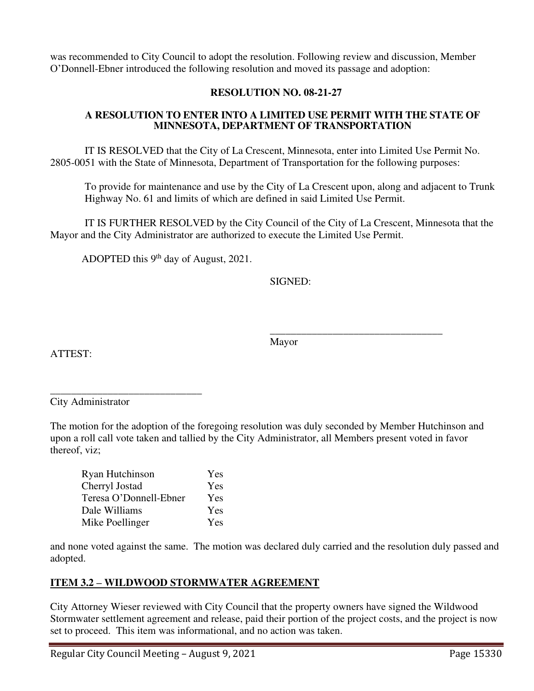was recommended to City Council to adopt the resolution. Following review and discussion, Member O'Donnell-Ebner introduced the following resolution and moved its passage and adoption:

## **RESOLUTION NO. 08-21-27**

#### **A RESOLUTION TO ENTER INTO A LIMITED USE PERMIT WITH THE STATE OF MINNESOTA, DEPARTMENT OF TRANSPORTATION**

IT IS RESOLVED that the City of La Crescent, Minnesota, enter into Limited Use Permit No. 2805-0051 with the State of Minnesota, Department of Transportation for the following purposes:

To provide for maintenance and use by the City of La Crescent upon, along and adjacent to Trunk Highway No. 61 and limits of which are defined in said Limited Use Permit.

IT IS FURTHER RESOLVED by the City Council of the City of La Crescent, Minnesota that the Mayor and the City Administrator are authorized to execute the Limited Use Permit.

ADOPTED this 9<sup>th</sup> day of August, 2021.

SIGNED:

Mayor

 $\overline{\phantom{a}}$  , and the contract of the contract of the contract of the contract of the contract of the contract of the contract of the contract of the contract of the contract of the contract of the contract of the contrac

ATTEST:

\_\_\_\_\_\_\_\_\_\_\_\_\_\_\_\_\_\_\_\_\_\_\_\_\_\_\_\_\_ City Administrator

The motion for the adoption of the foregoing resolution was duly seconded by Member Hutchinson and upon a roll call vote taken and tallied by the City Administrator, all Members present voted in favor thereof, viz;

| Ryan Hutchinson        | Yes |
|------------------------|-----|
| Cherryl Jostad         | Yes |
| Teresa O'Donnell-Ebner | Yes |
| Dale Williams          | Yes |
| Mike Poellinger        | Yes |

and none voted against the same. The motion was declared duly carried and the resolution duly passed and adopted.

## **ITEM 3.2 – WILDWOOD STORMWATER AGREEMENT**

City Attorney Wieser reviewed with City Council that the property owners have signed the Wildwood Stormwater settlement agreement and release, paid their portion of the project costs, and the project is now set to proceed. This item was informational, and no action was taken.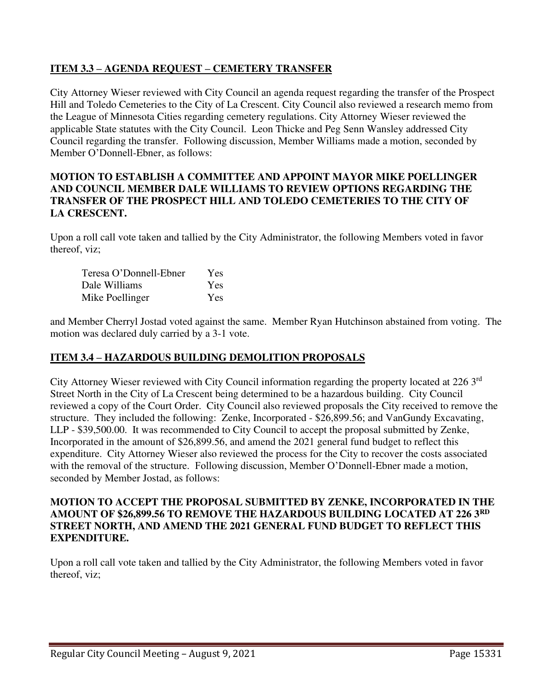## **ITEM 3.3 – AGENDA REQUEST – CEMETERY TRANSFER**

City Attorney Wieser reviewed with City Council an agenda request regarding the transfer of the Prospect Hill and Toledo Cemeteries to the City of La Crescent. City Council also reviewed a research memo from the League of Minnesota Cities regarding cemetery regulations. City Attorney Wieser reviewed the applicable State statutes with the City Council. Leon Thicke and Peg Senn Wansley addressed City Council regarding the transfer. Following discussion, Member Williams made a motion, seconded by Member O'Donnell-Ebner, as follows:

### **MOTION TO ESTABLISH A COMMITTEE AND APPOINT MAYOR MIKE POELLINGER AND COUNCIL MEMBER DALE WILLIAMS TO REVIEW OPTIONS REGARDING THE TRANSFER OF THE PROSPECT HILL AND TOLEDO CEMETERIES TO THE CITY OF LA CRESCENT.**

Upon a roll call vote taken and tallied by the City Administrator, the following Members voted in favor thereof, viz;

| Teresa O'Donnell-Ebner | Yes |
|------------------------|-----|
| Dale Williams          | Yes |
| Mike Poellinger        | Yes |

and Member Cherryl Jostad voted against the same. Member Ryan Hutchinson abstained from voting. The motion was declared duly carried by a 3-1 vote.

## **ITEM 3.4 – HAZARDOUS BUILDING DEMOLITION PROPOSALS**

City Attorney Wieser reviewed with City Council information regarding the property located at 226 3rd Street North in the City of La Crescent being determined to be a hazardous building. City Council reviewed a copy of the Court Order. City Council also reviewed proposals the City received to remove the structure. They included the following: Zenke, Incorporated - \$26,899.56; and VanGundy Excavating, LLP - \$39,500.00. It was recommended to City Council to accept the proposal submitted by Zenke, Incorporated in the amount of \$26,899.56, and amend the 2021 general fund budget to reflect this expenditure. City Attorney Wieser also reviewed the process for the City to recover the costs associated with the removal of the structure. Following discussion, Member O'Donnell-Ebner made a motion, seconded by Member Jostad, as follows:

#### **MOTION TO ACCEPT THE PROPOSAL SUBMITTED BY ZENKE, INCORPORATED IN THE AMOUNT OF \$26,899.56 TO REMOVE THE HAZARDOUS BUILDING LOCATED AT 226 3RD STREET NORTH, AND AMEND THE 2021 GENERAL FUND BUDGET TO REFLECT THIS EXPENDITURE.**

Upon a roll call vote taken and tallied by the City Administrator, the following Members voted in favor thereof, viz;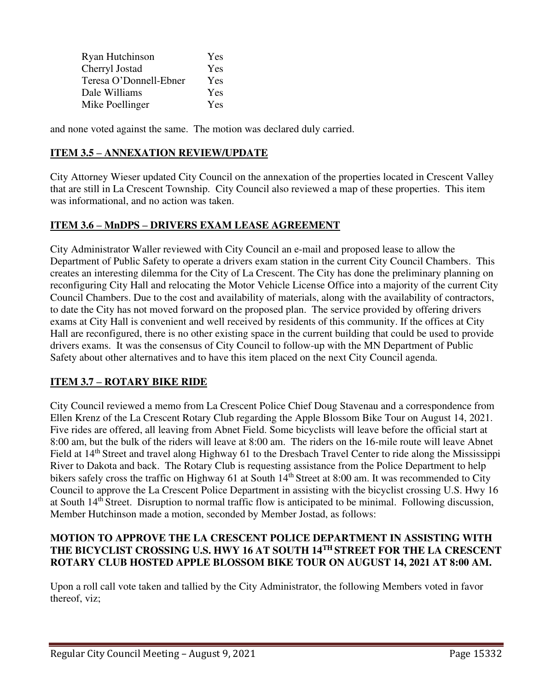| Ryan Hutchinson        | Yes |
|------------------------|-----|
| Cherryl Jostad         | Yes |
| Teresa O'Donnell-Ebner | Yes |
| Dale Williams          | Yes |
| Mike Poellinger        | Yes |

and none voted against the same. The motion was declared duly carried.

# **ITEM 3.5 – ANNEXATION REVIEW/UPDATE**

City Attorney Wieser updated City Council on the annexation of the properties located in Crescent Valley that are still in La Crescent Township. City Council also reviewed a map of these properties. This item was informational, and no action was taken.

# **ITEM 3.6 – MnDPS – DRIVERS EXAM LEASE AGREEMENT**

City Administrator Waller reviewed with City Council an e-mail and proposed lease to allow the Department of Public Safety to operate a drivers exam station in the current City Council Chambers. This creates an interesting dilemma for the City of La Crescent. The City has done the preliminary planning on reconfiguring City Hall and relocating the Motor Vehicle License Office into a majority of the current City Council Chambers. Due to the cost and availability of materials, along with the availability of contractors, to date the City has not moved forward on the proposed plan. The service provided by offering drivers exams at City Hall is convenient and well received by residents of this community. If the offices at City Hall are reconfigured, there is no other existing space in the current building that could be used to provide drivers exams. It was the consensus of City Council to follow-up with the MN Department of Public Safety about other alternatives and to have this item placed on the next City Council agenda.

# **ITEM 3.7 – ROTARY BIKE RIDE**

City Council reviewed a memo from La Crescent Police Chief Doug Stavenau and a correspondence from Ellen Krenz of the La Crescent Rotary Club regarding the Apple Blossom Bike Tour on August 14, 2021. Five rides are offered, all leaving from Abnet Field. Some bicyclists will leave before the official start at 8:00 am, but the bulk of the riders will leave at 8:00 am. The riders on the 16-mile route will leave Abnet Field at 14<sup>th</sup> Street and travel along Highway 61 to the Dresbach Travel Center to ride along the Mississippi River to Dakota and back. The Rotary Club is requesting assistance from the Police Department to help bikers safely cross the traffic on Highway 61 at South 14<sup>th</sup> Street at 8:00 am. It was recommended to City Council to approve the La Crescent Police Department in assisting with the bicyclist crossing U.S. Hwy 16 at South 14th Street. Disruption to normal traffic flow is anticipated to be minimal. Following discussion, Member Hutchinson made a motion, seconded by Member Jostad, as follows:

## **MOTION TO APPROVE THE LA CRESCENT POLICE DEPARTMENT IN ASSISTING WITH THE BICYCLIST CROSSING U.S. HWY 16 AT SOUTH 14TH STREET FOR THE LA CRESCENT ROTARY CLUB HOSTED APPLE BLOSSOM BIKE TOUR ON AUGUST 14, 2021 AT 8:00 AM.**

Upon a roll call vote taken and tallied by the City Administrator, the following Members voted in favor thereof, viz;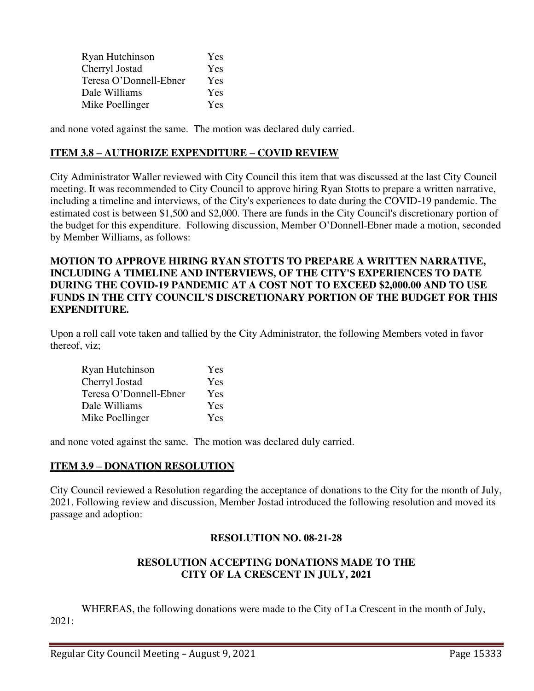| Ryan Hutchinson        | Yes |
|------------------------|-----|
| Cherryl Jostad         | Yes |
| Teresa O'Donnell-Ebner | Yes |
| Dale Williams          | Yes |
| Mike Poellinger        | Yes |

and none voted against the same. The motion was declared duly carried.

### **ITEM 3.8 – AUTHORIZE EXPENDITURE – COVID REVIEW**

City Administrator Waller reviewed with City Council this item that was discussed at the last City Council meeting. It was recommended to City Council to approve hiring Ryan Stotts to prepare a written narrative, including a timeline and interviews, of the City's experiences to date during the COVID-19 pandemic. The estimated cost is between \$1,500 and \$2,000. There are funds in the City Council's discretionary portion of the budget for this expenditure. Following discussion, Member O'Donnell-Ebner made a motion, seconded by Member Williams, as follows:

### **MOTION TO APPROVE HIRING RYAN STOTTS TO PREPARE A WRITTEN NARRATIVE, INCLUDING A TIMELINE AND INTERVIEWS, OF THE CITY'S EXPERIENCES TO DATE DURING THE COVID-19 PANDEMIC AT A COST NOT TO EXCEED \$2,000.00 AND TO USE FUNDS IN THE CITY COUNCIL'S DISCRETIONARY PORTION OF THE BUDGET FOR THIS EXPENDITURE.**

Upon a roll call vote taken and tallied by the City Administrator, the following Members voted in favor thereof, viz;

| Ryan Hutchinson        | Yes |
|------------------------|-----|
| Cherryl Jostad         | Yes |
| Teresa O'Donnell-Ebner | Yes |
| Dale Williams          | Yes |
| Mike Poellinger        | Yes |

and none voted against the same. The motion was declared duly carried.

## **ITEM 3.9 – DONATION RESOLUTION**

City Council reviewed a Resolution regarding the acceptance of donations to the City for the month of July, 2021. Following review and discussion, Member Jostad introduced the following resolution and moved its passage and adoption:

## **RESOLUTION NO. 08-21-28**

## **RESOLUTION ACCEPTING DONATIONS MADE TO THE CITY OF LA CRESCENT IN JULY, 2021**

 WHEREAS, the following donations were made to the City of La Crescent in the month of July, 2021: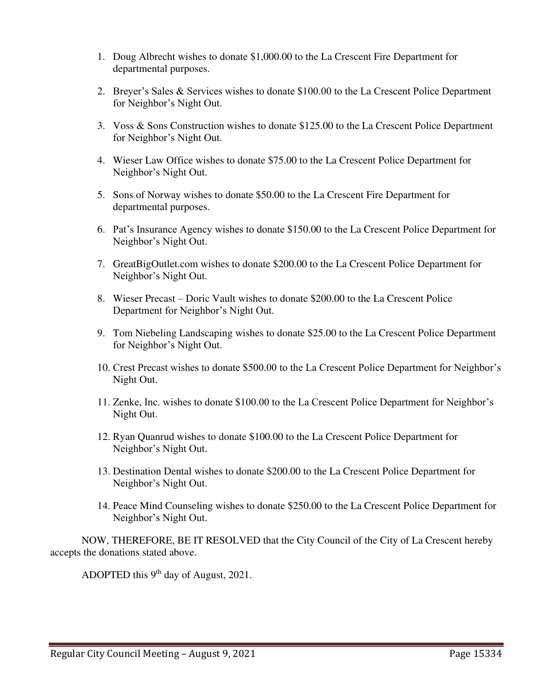- 1. Doug Albrecht wishes to donate \$1,000.00 to the La Crescent Fire Department for departmental purposes.
- 2. Breyer's Sales & Services wishes to donate \$100.00 to the La Crescent Police Department for Neighbor's Night Out.
- 3. Voss & Sons Construction wishes to donate \$125.00 to the La Crescent Police Department for Neighbor's Night Out.
- 4. Wieser Law Office wishes to donate \$75.00 to the La Crescent Police Department for Neighbor's Night Out.
- 5. Sons of Norway wishes to donate \$50.00 to the La Crescent Fire Department for departmental purposes.
- 6. Pat's Insurance Agency wishes to donate \$150.00 to the La Crescent Police Department for Neighbor's Night Out.
- 7. GreatBigOutlet.com wishes to donate \$200.00 to the La Crescent Police Department for Neighbor's Night Out.
- 8. Wieser Precast Doric Vault wishes to donate \$200.00 to the La Crescent Police Department for Neighbor's Night Out.
- 9. Tom Niebeling Landscaping wishes to donate \$25.00 to the La Crescent Police Department for Neighbor's Night Out.
- 10. Crest Precast wishes to donate \$500.00 to the La Crescent Police Department for Neighbor's Night Out.
- 11. Zenke, Inc. wishes to donate \$100.00 to the La Crescent Police Department for Neighbor's Night Out.
- 12. Ryan Quanrud wishes to donate \$100.00 to the La Crescent Police Department for Neighbor's Night Out.
- 13. Destination Dental wishes to donate \$200.00 to the La Crescent Police Department for Neighbor's Night Out.
- 14. Peace Mind Counseling wishes to donate \$250.00 to the La Crescent Police Department for Neighbor's Night Out.

 NOW, THEREFORE, BE IT RESOLVED that the City Council of the City of La Crescent hereby accepts the donations stated above.

ADOPTED this  $9<sup>th</sup>$  day of August, 2021.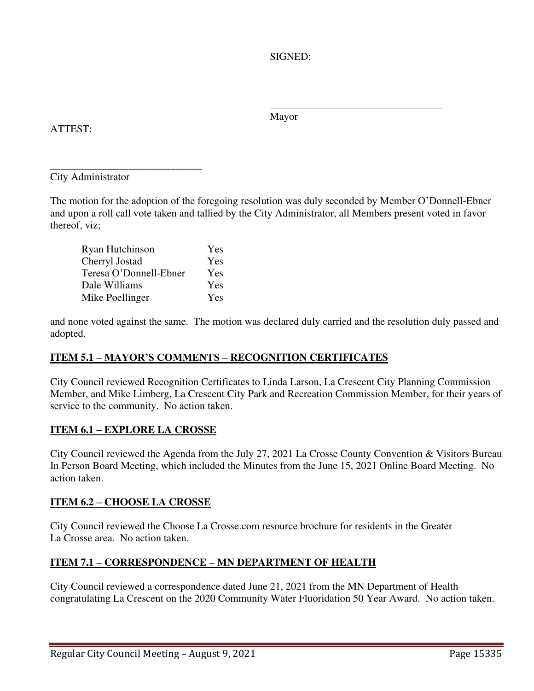SIGNED:

Mayor

 $\frac{1}{\sqrt{2\pi}}$  , which is a set of the set of the set of the set of the set of the set of the set of the set of the set of the set of the set of the set of the set of the set of the set of the set of the set of the set of

# ATTEST:

\_\_\_\_\_\_\_\_\_\_\_\_\_\_\_\_\_\_\_\_\_\_\_\_\_\_\_\_\_ City Administrator

The motion for the adoption of the foregoing resolution was duly seconded by Member O'Donnell-Ebner and upon a roll call vote taken and tallied by the City Administrator, all Members present voted in favor thereof, viz;

| Ryan Hutchinson        | Yes        |
|------------------------|------------|
| Cherryl Jostad         | Yes        |
| Teresa O'Donnell-Ebner | <b>Yes</b> |
| Dale Williams          | Yes        |
| Mike Poellinger        | <b>Yes</b> |

and none voted against the same. The motion was declared duly carried and the resolution duly passed and adopted.

# **ITEM 5.1 – MAYOR'S COMMENTS – RECOGNITION CERTIFICATES**

City Council reviewed Recognition Certificates to Linda Larson, La Crescent City Planning Commission Member, and Mike Limberg, La Crescent City Park and Recreation Commission Member, for their years of service to the community. No action taken.

# **ITEM 6.1 – EXPLORE LA CROSSE**

City Council reviewed the Agenda from the July 27, 2021 La Crosse County Convention & Visitors Bureau In Person Board Meeting, which included the Minutes from the June 15, 2021 Online Board Meeting. No action taken.

# **ITEM 6.2 – CHOOSE LA CROSSE**

City Council reviewed the Choose La Crosse.com resource brochure for residents in the Greater La Crosse area. No action taken.

# **ITEM 7.1 – CORRESPONDENCE – MN DEPARTMENT OF HEALTH**

City Council reviewed a correspondence dated June 21, 2021 from the MN Department of Health congratulating La Crescent on the 2020 Community Water Fluoridation 50 Year Award. No action taken.